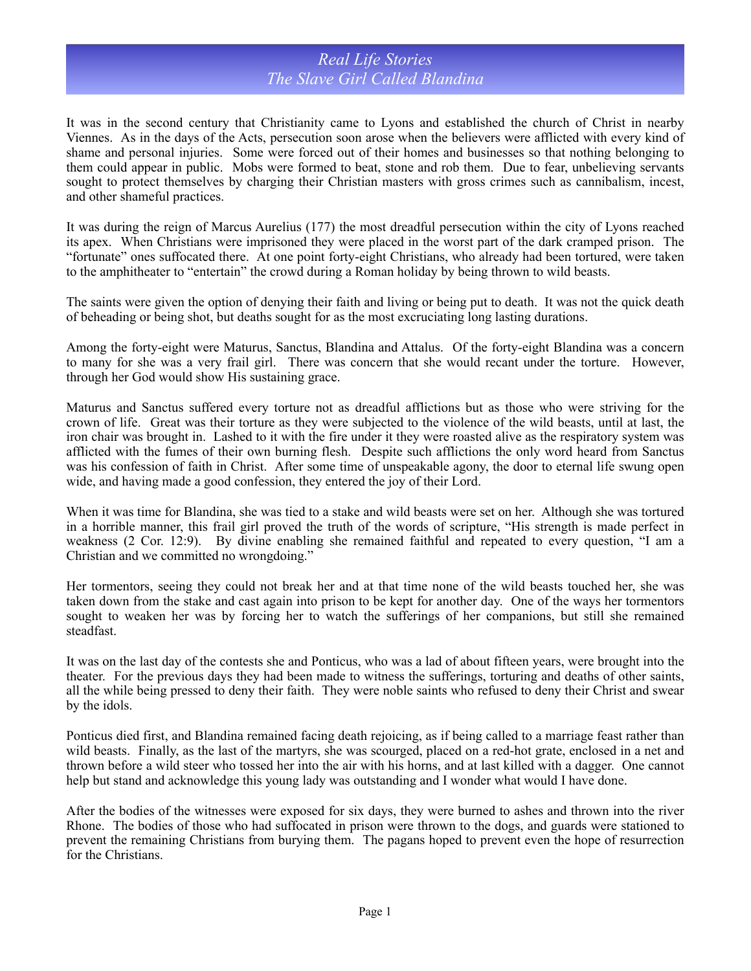## *Real Life Stories The Slave Girl Called Blandina*

It was in the second century that Christianity came to Lyons and established the church of Christ in nearby Viennes. As in the days of the Acts, persecution soon arose when the believers were afflicted with every kind of shame and personal injuries. Some were forced out of their homes and businesses so that nothing belonging to them could appear in public. Mobs were formed to beat, stone and rob them. Due to fear, unbelieving servants sought to protect themselves by charging their Christian masters with gross crimes such as cannibalism, incest, and other shameful practices.

It was during the reign of Marcus Aurelius (177) the most dreadful persecution within the city of Lyons reached its apex. When Christians were imprisoned they were placed in the worst part of the dark cramped prison. The "fortunate" ones suffocated there. At one point forty-eight Christians, who already had been tortured, were taken to the amphitheater to "entertain" the crowd during a Roman holiday by being thrown to wild beasts.

The saints were given the option of denying their faith and living or being put to death. It was not the quick death of beheading or being shot, but deaths sought for as the most excruciating long lasting durations.

Among the forty-eight were Maturus, Sanctus, Blandina and Attalus. Of the forty-eight Blandina was a concern to many for she was a very frail girl. There was concern that she would recant under the torture. However, through her God would show His sustaining grace.

Maturus and Sanctus suffered every torture not as dreadful afflictions but as those who were striving for the crown of life. Great was their torture as they were subjected to the violence of the wild beasts, until at last, the iron chair was brought in. Lashed to it with the fire under it they were roasted alive as the respiratory system was afflicted with the fumes of their own burning flesh. Despite such afflictions the only word heard from Sanctus was his confession of faith in Christ. After some time of unspeakable agony, the door to eternal life swung open wide, and having made a good confession, they entered the joy of their Lord.

When it was time for Blandina, she was tied to a stake and wild beasts were set on her. Although she was tortured in a horrible manner, this frail girl proved the truth of the words of scripture, "His strength is made perfect in weakness (2 Cor. 12:9). By divine enabling she remained faithful and repeated to every question, "I am a Christian and we committed no wrongdoing."

Her tormentors, seeing they could not break her and at that time none of the wild beasts touched her, she was taken down from the stake and cast again into prison to be kept for another day. One of the ways her tormentors sought to weaken her was by forcing her to watch the sufferings of her companions, but still she remained steadfast.

It was on the last day of the contests she and Ponticus, who was a lad of about fifteen years, were brought into the theater. For the previous days they had been made to witness the sufferings, torturing and deaths of other saints, all the while being pressed to deny their faith. They were noble saints who refused to deny their Christ and swear by the idols.

Ponticus died first, and Blandina remained facing death rejoicing, as if being called to a marriage feast rather than wild beasts. Finally, as the last of the martyrs, she was scourged, placed on a red-hot grate, enclosed in a net and thrown before a wild steer who tossed her into the air with his horns, and at last killed with a dagger. One cannot help but stand and acknowledge this young lady was outstanding and I wonder what would I have done.

After the bodies of the witnesses were exposed for six days, they were burned to ashes and thrown into the river Rhone. The bodies of those who had suffocated in prison were thrown to the dogs, and guards were stationed to prevent the remaining Christians from burying them. The pagans hoped to prevent even the hope of resurrection for the Christians.